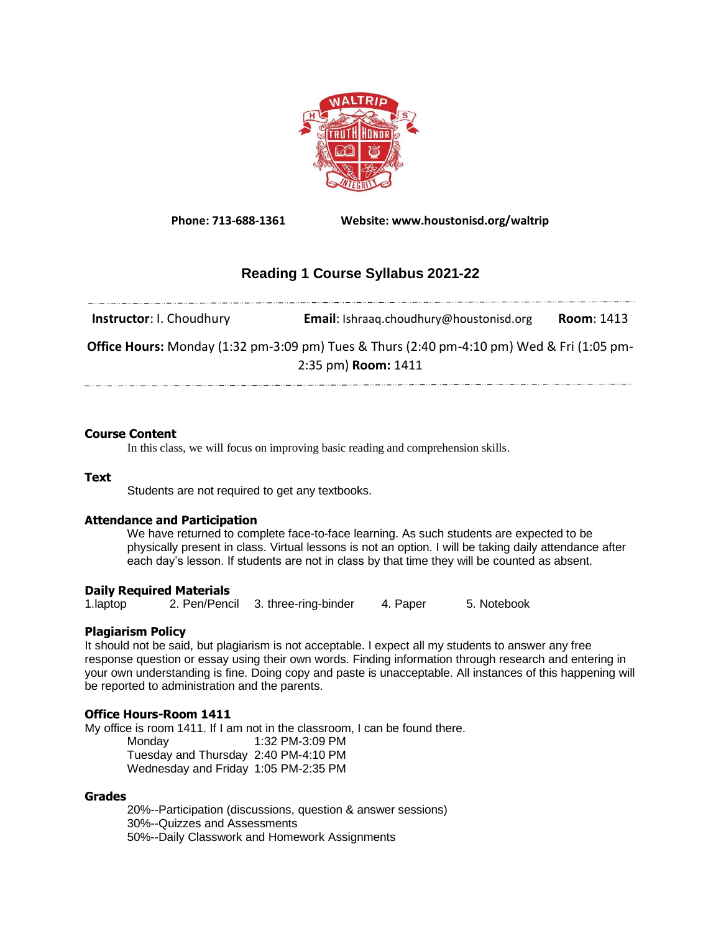

**Phone: 713-688-1361 Website: www.houstonisd.org/waltrip**

# **Reading 1 Course Syllabus 2021-22**

**Instructor**: I. Choudhury **Email**: Ishraaq.choudhury@houstonisd.org **Room**: 1413 **Office Hours:** Monday (1:32 pm-3:09 pm) Tues & Thurs (2:40 pm-4:10 pm) Wed & Fri (1:05 pm-2:35 pm) **Room:** 1411 

## **Course Content**

In this class, we will focus on improving basic reading and comprehension skills.

#### **Text**

Students are not required to get any textbooks.

## **Attendance and Participation**

We have returned to complete face-to-face learning. As such students are expected to be physically present in class. Virtual lessons is not an option. I will be taking daily attendance after each day's lesson. If students are not in class by that time they will be counted as absent.

## **Daily Required Materials**

1.laptop 2. Pen/Pencil 3. three-ring-binder 4. Paper 5. Notebook

## **Plagiarism Policy**

It should not be said, but plagiarism is not acceptable. I expect all my students to answer any free response question or essay using their own words. Finding information through research and entering in your own understanding is fine. Doing copy and paste is unacceptable. All instances of this happening will be reported to administration and the parents.

## **Office Hours-Room 1411**

My office is room 1411. If I am not in the classroom, I can be found there.

Monday 1:32 PM-3:09 PM Tuesday and Thursday 2:40 PM-4:10 PM Wednesday and Friday 1:05 PM-2:35 PM

## **Grades**

20%--Participation (discussions, question & answer sessions) 30%--Quizzes and Assessments 50%--Daily Classwork and Homework Assignments